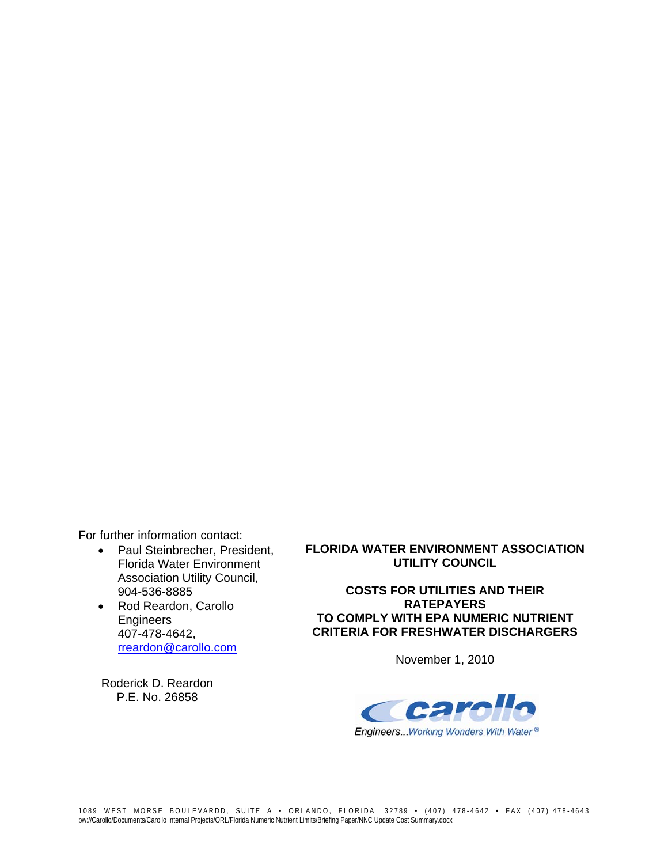For further information contact:

- Paul Steinbrecher, President, Florida Water Environment Association Utility Council, 904-536-8885
- Rod Reardon, Carollo Engineers 407-478-4642, rreardon@carollo.com

Roderick D. Reardon P.E. No. 26858

#### **FLORIDA WATER ENVIRONMENT ASSOCIATION UTILITY COUNCIL**

#### **COSTS FOR UTILITIES AND THEIR RATEPAYERS TO COMPLY WITH EPA NUMERIC NUTRIENT CRITERIA FOR FRESHWATER DISCHARGERS**

November 1, 2010

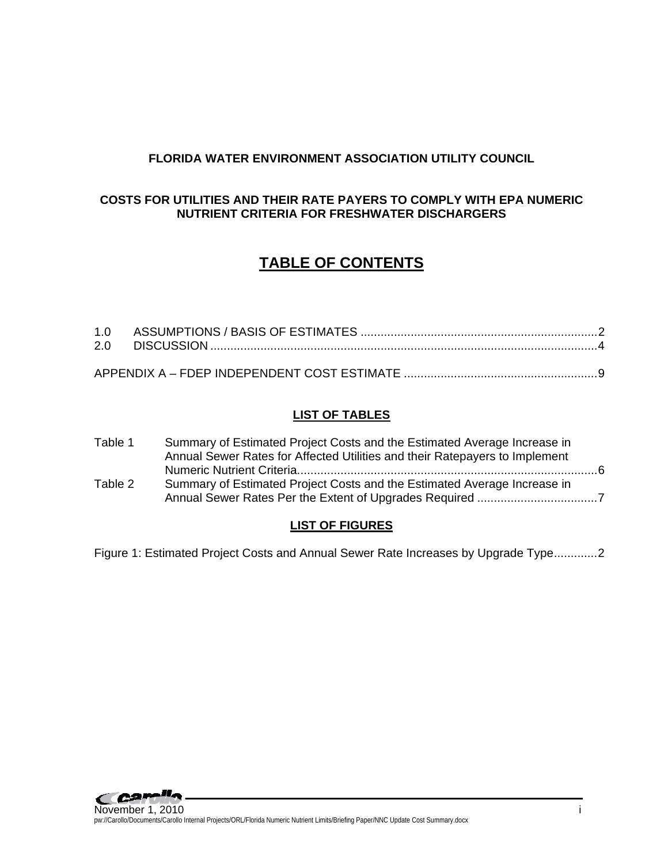#### **FLORIDA WATER ENVIRONMENT ASSOCIATION UTILITY COUNCIL**

#### **COSTS FOR UTILITIES AND THEIR RATE PAYERS TO COMPLY WITH EPA NUMERIC NUTRIENT CRITERIA FOR FRESHWATER DISCHARGERS**

# **TABLE OF CONTENTS**

#### **LIST OF TABLES**

| Table 1 | Summary of Estimated Project Costs and the Estimated Average Increase in<br>Annual Sewer Rates for Affected Utilities and their Ratepayers to Implement |     |
|---------|---------------------------------------------------------------------------------------------------------------------------------------------------------|-----|
|         |                                                                                                                                                         | - 6 |
| Table 2 | Summary of Estimated Project Costs and the Estimated Average Increase in                                                                                |     |

#### **LIST OF FIGURES**

Figure 1: Estimated Project Costs and Annual Sewer Rate Increases by Upgrade Type.............2

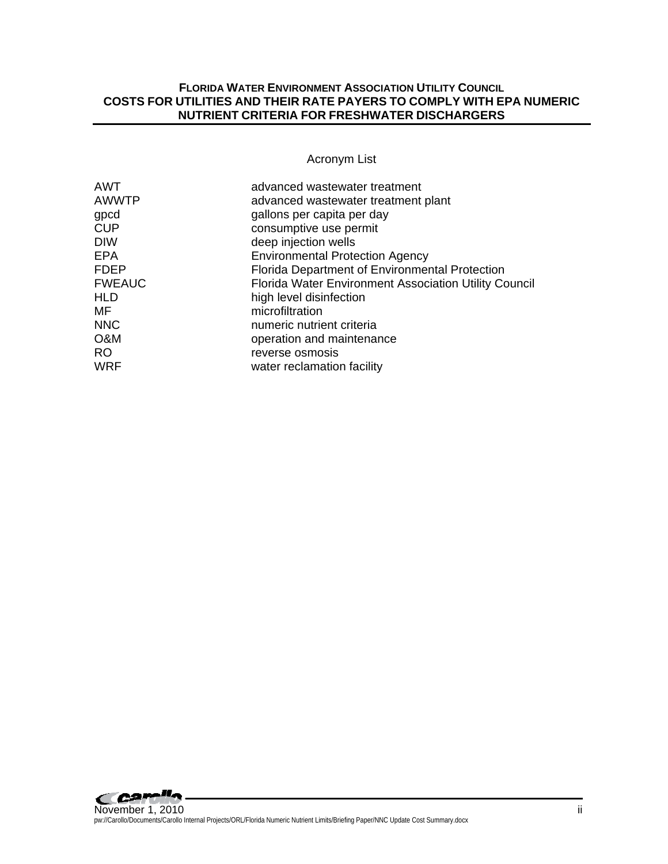#### **FLORIDA WATER ENVIRONMENT ASSOCIATION UTILITY COUNCIL COSTS FOR UTILITIES AND THEIR RATE PAYERS TO COMPLY WITH EPA NUMERIC NUTRIENT CRITERIA FOR FRESHWATER DISCHARGERS**

#### Acronym List

| <b>AWT</b>    | advanced wastewater treatment                                |
|---------------|--------------------------------------------------------------|
| <b>AWWTP</b>  | advanced wastewater treatment plant                          |
| gpcd          | gallons per capita per day                                   |
| CUP           | consumptive use permit                                       |
| <b>DIW</b>    | deep injection wells                                         |
| EPA           | <b>Environmental Protection Agency</b>                       |
| FDEP          | <b>Florida Department of Environmental Protection</b>        |
| <b>FWEAUC</b> | <b>Florida Water Environment Association Utility Council</b> |
| HLD           | high level disinfection                                      |
| МF            | microfiltration                                              |
| <b>NNC</b>    | numeric nutrient criteria                                    |
| O&M           | operation and maintenance                                    |
| RO.           | reverse osmosis                                              |
| <b>WRF</b>    | water reclamation facility                                   |
|               |                                                              |

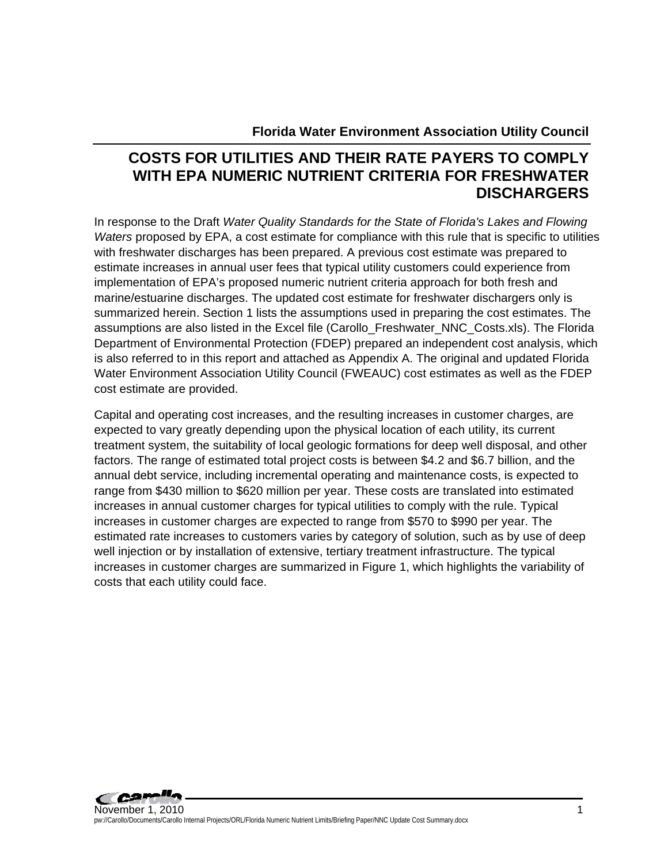## **Florida Water Environment Association Utility Council**

# **COSTS FOR UTILITIES AND THEIR RATE PAYERS TO COMPLY WITH EPA NUMERIC NUTRIENT CRITERIA FOR FRESHWATER DISCHARGERS**

In response to the Draft *Water Quality Standards for the State of Florida's Lakes and Flowing Waters* proposed by EPA, a cost estimate for compliance with this rule that is specific to utilities with freshwater discharges has been prepared. A previous cost estimate was prepared to estimate increases in annual user fees that typical utility customers could experience from implementation of EPA's proposed numeric nutrient criteria approach for both fresh and marine/estuarine discharges. The updated cost estimate for freshwater dischargers only is summarized herein. Section 1 lists the assumptions used in preparing the cost estimates. The assumptions are also listed in the Excel file (Carollo\_Freshwater\_NNC\_Costs.xls). The Florida Department of Environmental Protection (FDEP) prepared an independent cost analysis, which is also referred to in this report and attached as Appendix A. The original and updated Florida Water Environment Association Utility Council (FWEAUC) cost estimates as well as the FDEP cost estimate are provided.

Capital and operating cost increases, and the resulting increases in customer charges, are expected to vary greatly depending upon the physical location of each utility, its current treatment system, the suitability of local geologic formations for deep well disposal, and other factors. The range of estimated total project costs is between \$4.2 and \$6.7 billion, and the annual debt service, including incremental operating and maintenance costs, is expected to range from \$430 million to \$620 million per year. These costs are translated into estimated increases in annual customer charges for typical utilities to comply with the rule. Typical increases in customer charges are expected to range from \$570 to \$990 per year. The estimated rate increases to customers varies by category of solution, such as by use of deep well injection or by installation of extensive, tertiary treatment infrastructure. The typical increases in customer charges are summarized in Figure 1, which highlights the variability of costs that each utility could face.



November 1, 2010 1 and 1 and 1 and 1 and 1 and 1 and 1 and 1 and 1 and 1 and 1 and 1 and 1 and 1 and 1 and 1 and 1 and 1 and 1 and 1 and 1 and 1 and 1 and 1 and 1 and 1 and 1 and 1 and 1 and 1 and 1 and 1 and 1 and 1 and 1 pw://Carollo/Documents/Carollo Internal Projects/ORL/Florida Numeric Nutrient Limits/Briefing Paper/NNC Update Cost Summary.docx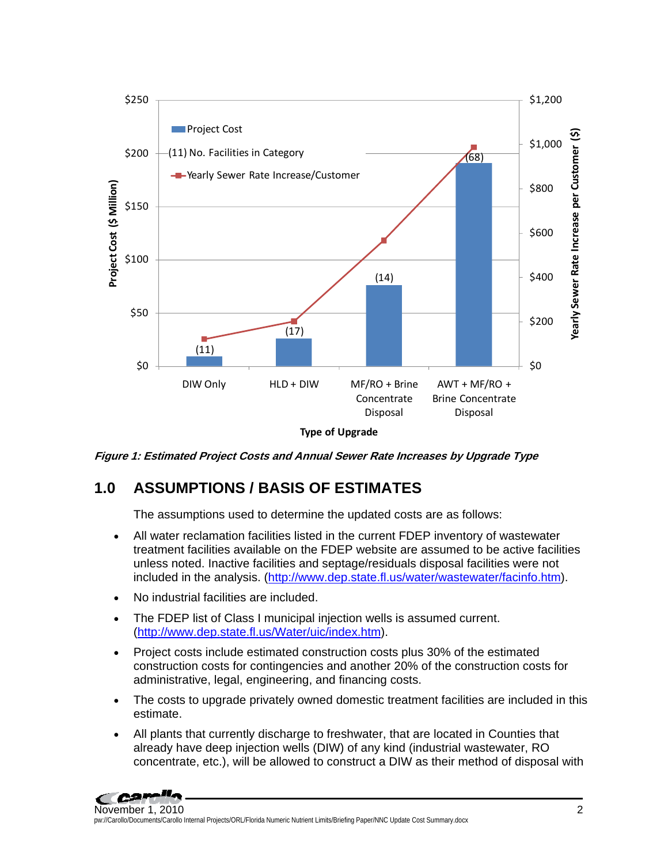

**Type of Upgrade**

**Figure 1: Estimated Project Costs and Annual Sewer Rate Increases by Upgrade Type** 

# **1.0 ASSUMPTIONS / BASIS OF ESTIMATES**

The assumptions used to determine the updated costs are as follows:

- All water reclamation facilities listed in the current FDEP inventory of wastewater treatment facilities available on the FDEP website are assumed to be active facilities unless noted. Inactive facilities and septage/residuals disposal facilities were not included in the analysis. (http://www.dep.state.fl.us/water/wastewater/facinfo.htm).
- No industrial facilities are included.
- The FDEP list of Class I municipal injection wells is assumed current. (http://www.dep.state.fl.us/Water/uic/index.htm).
- Project costs include estimated construction costs plus 30% of the estimated construction costs for contingencies and another 20% of the construction costs for administrative, legal, engineering, and financing costs.
- The costs to upgrade privately owned domestic treatment facilities are included in this estimate.
- All plants that currently discharge to freshwater, that are located in Counties that already have deep injection wells (DIW) of any kind (industrial wastewater, RO concentrate, etc.), will be allowed to construct a DIW as their method of disposal with

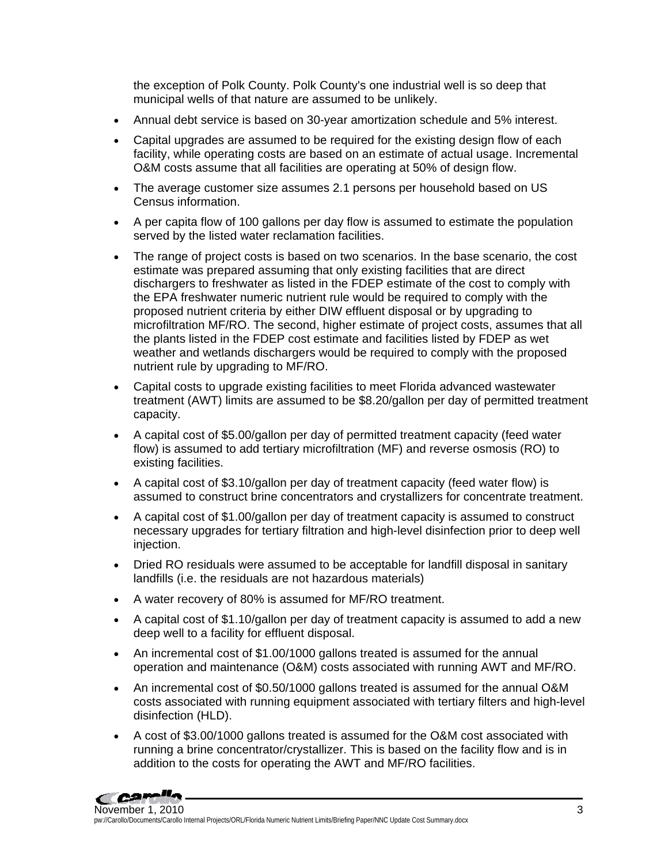the exception of Polk County. Polk County's one industrial well is so deep that municipal wells of that nature are assumed to be unlikely.

- Annual debt service is based on 30-year amortization schedule and 5% interest.
- Capital upgrades are assumed to be required for the existing design flow of each facility, while operating costs are based on an estimate of actual usage. Incremental O&M costs assume that all facilities are operating at 50% of design flow.
- The average customer size assumes 2.1 persons per household based on US Census information.
- A per capita flow of 100 gallons per day flow is assumed to estimate the population served by the listed water reclamation facilities.
- The range of project costs is based on two scenarios. In the base scenario, the cost estimate was prepared assuming that only existing facilities that are direct dischargers to freshwater as listed in the FDEP estimate of the cost to comply with the EPA freshwater numeric nutrient rule would be required to comply with the proposed nutrient criteria by either DIW effluent disposal or by upgrading to microfiltration MF/RO. The second, higher estimate of project costs, assumes that all the plants listed in the FDEP cost estimate and facilities listed by FDEP as wet weather and wetlands dischargers would be required to comply with the proposed nutrient rule by upgrading to MF/RO.
- Capital costs to upgrade existing facilities to meet Florida advanced wastewater treatment (AWT) limits are assumed to be \$8.20/gallon per day of permitted treatment capacity.
- A capital cost of \$5.00/gallon per day of permitted treatment capacity (feed water flow) is assumed to add tertiary microfiltration (MF) and reverse osmosis (RO) to existing facilities.
- A capital cost of \$3.10/gallon per day of treatment capacity (feed water flow) is assumed to construct brine concentrators and crystallizers for concentrate treatment.
- A capital cost of \$1.00/gallon per day of treatment capacity is assumed to construct necessary upgrades for tertiary filtration and high-level disinfection prior to deep well injection.
- Dried RO residuals were assumed to be acceptable for landfill disposal in sanitary landfills (i.e. the residuals are not hazardous materials)
- A water recovery of 80% is assumed for MF/RO treatment.
- A capital cost of \$1.10/gallon per day of treatment capacity is assumed to add a new deep well to a facility for effluent disposal.
- An incremental cost of \$1.00/1000 gallons treated is assumed for the annual operation and maintenance (O&M) costs associated with running AWT and MF/RO.
- An incremental cost of \$0.50/1000 gallons treated is assumed for the annual O&M costs associated with running equipment associated with tertiary filters and high-level disinfection (HLD).
- A cost of \$3.00/1000 gallons treated is assumed for the O&M cost associated with running a brine concentrator/crystallizer. This is based on the facility flow and is in addition to the costs for operating the AWT and MF/RO facilities.

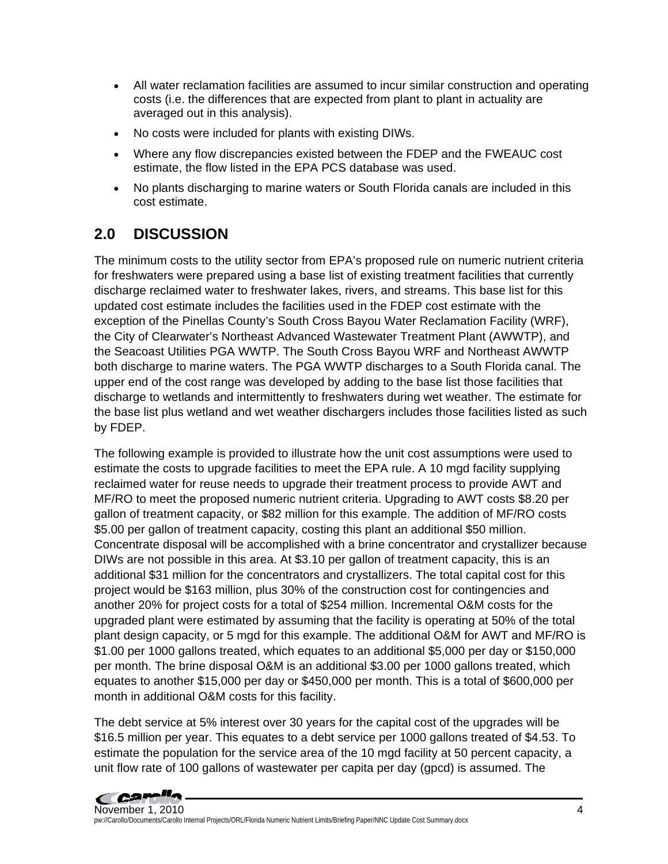- All water reclamation facilities are assumed to incur similar construction and operating costs (i.e. the differences that are expected from plant to plant in actuality are averaged out in this analysis).
- No costs were included for plants with existing DIWs.
- Where any flow discrepancies existed between the FDEP and the FWEAUC cost estimate, the flow listed in the EPA PCS database was used.
- No plants discharging to marine waters or South Florida canals are included in this cost estimate.

# **2.0 DISCUSSION**

The minimum costs to the utility sector from EPA's proposed rule on numeric nutrient criteria for freshwaters were prepared using a base list of existing treatment facilities that currently discharge reclaimed water to freshwater lakes, rivers, and streams. This base list for this updated cost estimate includes the facilities used in the FDEP cost estimate with the exception of the Pinellas County's South Cross Bayou Water Reclamation Facility (WRF), the City of Clearwater's Northeast Advanced Wastewater Treatment Plant (AWWTP), and the Seacoast Utilities PGA WWTP. The South Cross Bayou WRF and Northeast AWWTP both discharge to marine waters. The PGA WWTP discharges to a South Florida canal. The upper end of the cost range was developed by adding to the base list those facilities that discharge to wetlands and intermittently to freshwaters during wet weather. The estimate for the base list plus wetland and wet weather dischargers includes those facilities listed as such by FDEP.

The following example is provided to illustrate how the unit cost assumptions were used to estimate the costs to upgrade facilities to meet the EPA rule. A 10 mgd facility supplying reclaimed water for reuse needs to upgrade their treatment process to provide AWT and MF/RO to meet the proposed numeric nutrient criteria. Upgrading to AWT costs \$8.20 per gallon of treatment capacity, or \$82 million for this example. The addition of MF/RO costs \$5.00 per gallon of treatment capacity, costing this plant an additional \$50 million. Concentrate disposal will be accomplished with a brine concentrator and crystallizer because DIWs are not possible in this area. At \$3.10 per gallon of treatment capacity, this is an additional \$31 million for the concentrators and crystallizers. The total capital cost for this project would be \$163 million, plus 30% of the construction cost for contingencies and another 20% for project costs for a total of \$254 million. Incremental O&M costs for the upgraded plant were estimated by assuming that the facility is operating at 50% of the total plant design capacity, or 5 mgd for this example. The additional O&M for AWT and MF/RO is \$1.00 per 1000 gallons treated, which equates to an additional \$5,000 per day or \$150,000 per month. The brine disposal O&M is an additional \$3.00 per 1000 gallons treated, which equates to another \$15,000 per day or \$450,000 per month. This is a total of \$600,000 per month in additional O&M costs for this facility.

The debt service at 5% interest over 30 years for the capital cost of the upgrades will be \$16.5 million per year. This equates to a debt service per 1000 gallons treated of \$4.53. To estimate the population for the service area of the 10 mgd facility at 50 percent capacity, a unit flow rate of 100 gallons of wastewater per capita per day (gpcd) is assumed. The

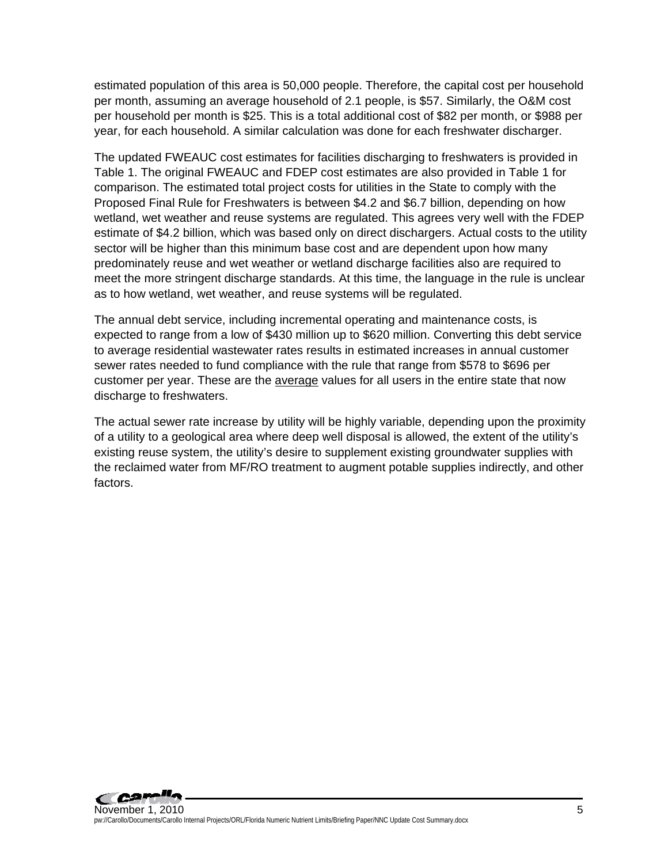estimated population of this area is 50,000 people. Therefore, the capital cost per household per month, assuming an average household of 2.1 people, is \$57. Similarly, the O&M cost per household per month is \$25. This is a total additional cost of \$82 per month, or \$988 per year, for each household. A similar calculation was done for each freshwater discharger.

The updated FWEAUC cost estimates for facilities discharging to freshwaters is provided in Table 1. The original FWEAUC and FDEP cost estimates are also provided in Table 1 for comparison. The estimated total project costs for utilities in the State to comply with the Proposed Final Rule for Freshwaters is between \$4.2 and \$6.7 billion, depending on how wetland, wet weather and reuse systems are regulated. This agrees very well with the FDEP estimate of \$4.2 billion, which was based only on direct dischargers. Actual costs to the utility sector will be higher than this minimum base cost and are dependent upon how many predominately reuse and wet weather or wetland discharge facilities also are required to meet the more stringent discharge standards. At this time, the language in the rule is unclear as to how wetland, wet weather, and reuse systems will be regulated.

The annual debt service, including incremental operating and maintenance costs, is expected to range from a low of \$430 million up to \$620 million. Converting this debt service to average residential wastewater rates results in estimated increases in annual customer sewer rates needed to fund compliance with the rule that range from \$578 to \$696 per customer per year. These are the average values for all users in the entire state that now discharge to freshwaters.

The actual sewer rate increase by utility will be highly variable, depending upon the proximity of a utility to a geological area where deep well disposal is allowed, the extent of the utility's existing reuse system, the utility's desire to supplement existing groundwater supplies with the reclaimed water from MF/RO treatment to augment potable supplies indirectly, and other factors.

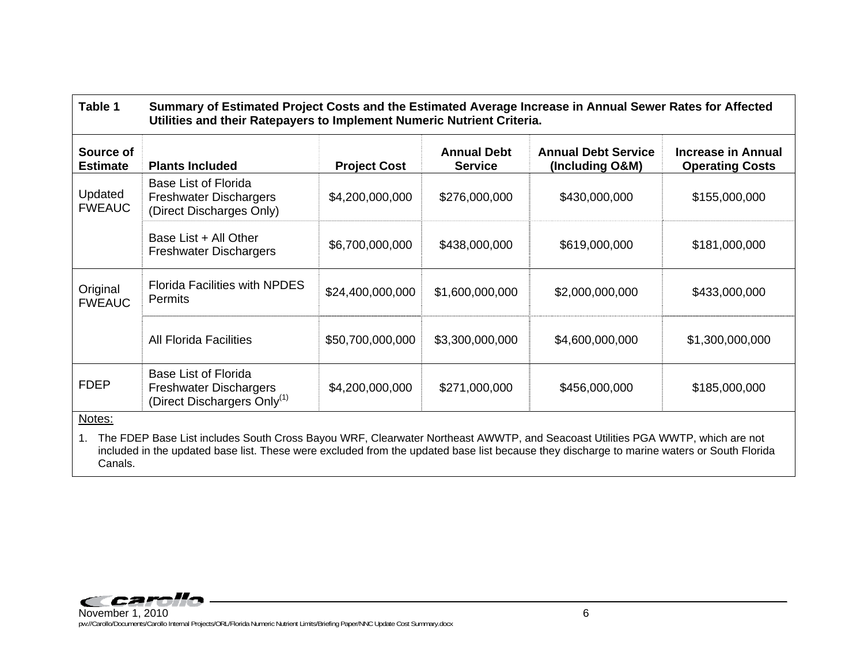| Table 1                      | Summary of Estimated Project Costs and the Estimated Average Increase in Annual Sewer Rates for Affected<br>Utilities and their Ratepayers to Implement Numeric Nutrient Criteria. |                     |                                      |                                               |                                                     |
|------------------------------|------------------------------------------------------------------------------------------------------------------------------------------------------------------------------------|---------------------|--------------------------------------|-----------------------------------------------|-----------------------------------------------------|
| Source of<br><b>Estimate</b> | <b>Plants Included</b>                                                                                                                                                             | <b>Project Cost</b> | <b>Annual Debt</b><br><b>Service</b> | <b>Annual Debt Service</b><br>(Including O&M) | <b>Increase in Annual</b><br><b>Operating Costs</b> |
| Updated<br><b>FWEAUC</b>     | <b>Base List of Florida</b><br><b>Freshwater Dischargers</b><br>(Direct Discharges Only)                                                                                           | \$4,200,000,000     | \$276,000,000                        | \$430,000,000                                 | \$155,000,000                                       |
|                              | Base List + All Other<br><b>Freshwater Dischargers</b>                                                                                                                             | \$6,700,000,000     | \$438,000,000                        | \$619,000,000                                 | \$181,000,000                                       |
| Original<br><b>FWEAUC</b>    | <b>Florida Facilities with NPDES</b><br><b>Permits</b>                                                                                                                             | \$24,400,000,000    | \$1,600,000,000                      | \$2,000,000,000                               | \$433,000,000                                       |
|                              | <b>All Florida Facilities</b>                                                                                                                                                      | \$50,700,000,000    | \$3,300,000,000                      | \$4,600,000,000                               | \$1,300,000,000                                     |
| <b>FDEP</b>                  | <b>Base List of Florida</b><br><b>Freshwater Dischargers</b><br>(Direct Dischargers Only <sup>(1)</sup>                                                                            | \$4,200,000,000     | \$271,000,000                        | \$456,000,000                                 | \$185,000,000                                       |
| Notes:                       |                                                                                                                                                                                    | $\mathbf{r}$        |                                      |                                               |                                                     |

1. The FDEP Base List includes South Cross Bayou WRF, Clearwater Northeast AWWTP, and Seacoast Utilities PGA WWTP, which are not included in the updated base list. These were excluded from the updated base list because they discharge to marine waters or South Florida Canals.

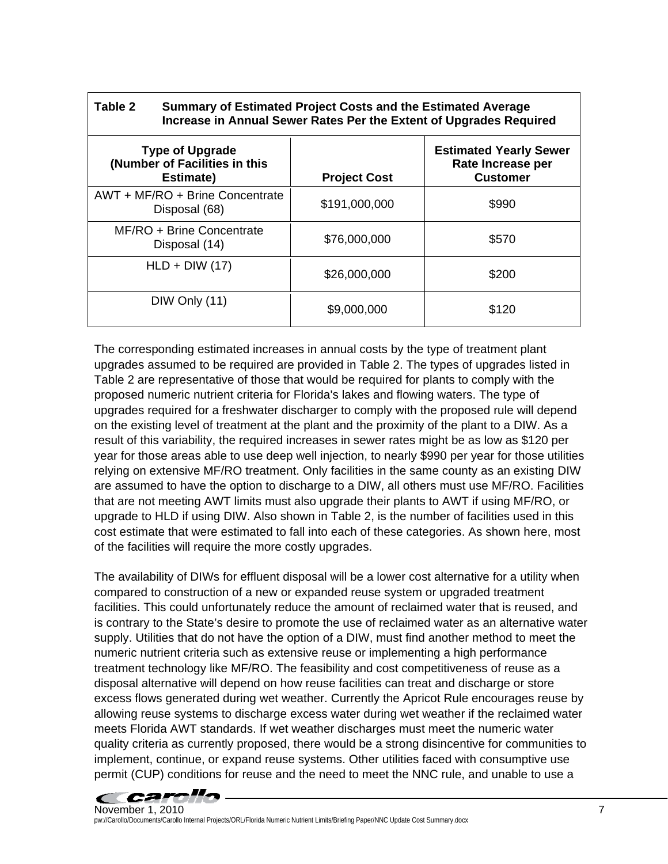| Table 2                                                              | Summary of Estimated Project Costs and the Estimated Average<br>Increase in Annual Sewer Rates Per the Extent of Upgrades Required |                                                                       |  |  |  |
|----------------------------------------------------------------------|------------------------------------------------------------------------------------------------------------------------------------|-----------------------------------------------------------------------|--|--|--|
| <b>Type of Upgrade</b><br>(Number of Facilities in this<br>Estimate) | <b>Project Cost</b>                                                                                                                | <b>Estimated Yearly Sewer</b><br>Rate Increase per<br><b>Customer</b> |  |  |  |
| AWT + MF/RO + Brine Concentrate<br>Disposal (68)                     | \$191,000,000                                                                                                                      | \$990                                                                 |  |  |  |
| MF/RO + Brine Concentrate<br>Disposal (14)                           | \$76,000,000                                                                                                                       | \$570                                                                 |  |  |  |
| $HLD + DIW (17)$                                                     | \$26,000,000                                                                                                                       | \$200                                                                 |  |  |  |
| DIW Only (11)                                                        | \$9,000,000                                                                                                                        | \$120                                                                 |  |  |  |

The corresponding estimated increases in annual costs by the type of treatment plant upgrades assumed to be required are provided in Table 2. The types of upgrades listed in Table 2 are representative of those that would be required for plants to comply with the proposed numeric nutrient criteria for Florida's lakes and flowing waters. The type of upgrades required for a freshwater discharger to comply with the proposed rule will depend on the existing level of treatment at the plant and the proximity of the plant to a DIW. As a result of this variability, the required increases in sewer rates might be as low as \$120 per year for those areas able to use deep well injection, to nearly \$990 per year for those utilities relying on extensive MF/RO treatment. Only facilities in the same county as an existing DIW are assumed to have the option to discharge to a DIW, all others must use MF/RO. Facilities that are not meeting AWT limits must also upgrade their plants to AWT if using MF/RO, or upgrade to HLD if using DIW. Also shown in Table 2, is the number of facilities used in this cost estimate that were estimated to fall into each of these categories. As shown here, most of the facilities will require the more costly upgrades.

The availability of DIWs for effluent disposal will be a lower cost alternative for a utility when compared to construction of a new or expanded reuse system or upgraded treatment facilities. This could unfortunately reduce the amount of reclaimed water that is reused, and is contrary to the State's desire to promote the use of reclaimed water as an alternative water supply. Utilities that do not have the option of a DIW, must find another method to meet the numeric nutrient criteria such as extensive reuse or implementing a high performance treatment technology like MF/RO. The feasibility and cost competitiveness of reuse as a disposal alternative will depend on how reuse facilities can treat and discharge or store excess flows generated during wet weather. Currently the Apricot Rule encourages reuse by allowing reuse systems to discharge excess water during wet weather if the reclaimed water meets Florida AWT standards. If wet weather discharges must meet the numeric water quality criteria as currently proposed, there would be a strong disincentive for communities to implement, continue, or expand reuse systems. Other utilities faced with consumptive use permit (CUP) conditions for reuse and the need to meet the NNC rule, and unable to use a

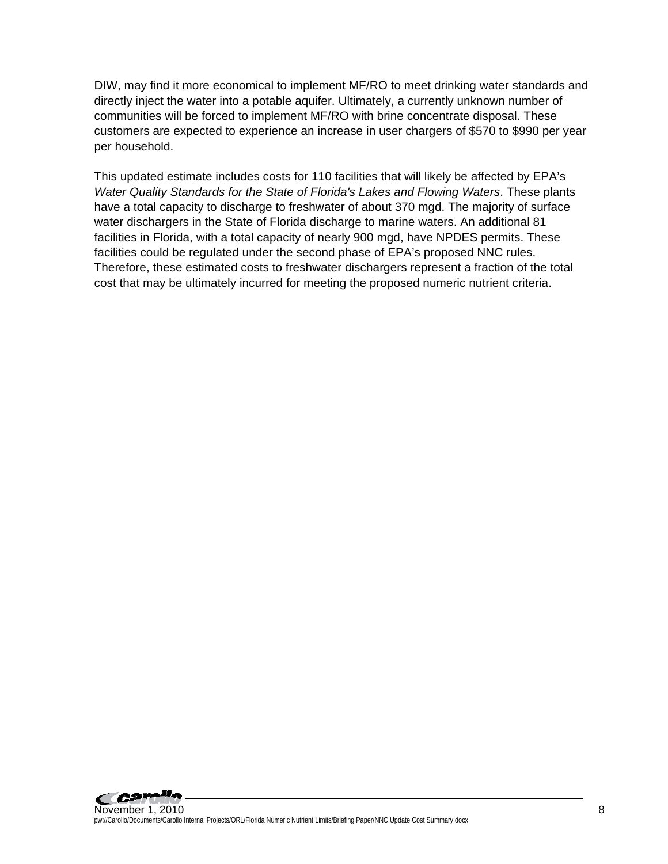DIW, may find it more economical to implement MF/RO to meet drinking water standards and directly inject the water into a potable aquifer. Ultimately, a currently unknown number of communities will be forced to implement MF/RO with brine concentrate disposal. These customers are expected to experience an increase in user chargers of \$570 to \$990 per year per household.

This updated estimate includes costs for 110 facilities that will likely be affected by EPA's *Water Quality Standards for the State of Florida's Lakes and Flowing Waters*. These plants have a total capacity to discharge to freshwater of about 370 mgd. The majority of surface water dischargers in the State of Florida discharge to marine waters. An additional 81 facilities in Florida, with a total capacity of nearly 900 mgd, have NPDES permits. These facilities could be regulated under the second phase of EPA's proposed NNC rules. Therefore, these estimated costs to freshwater dischargers represent a fraction of the total cost that may be ultimately incurred for meeting the proposed numeric nutrient criteria.

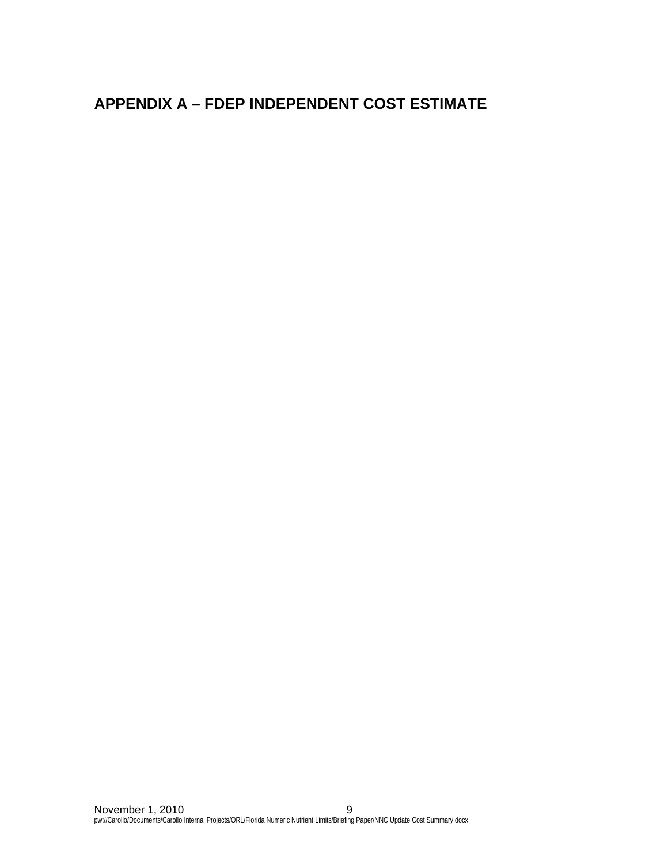# **APPENDIX A – FDEP INDEPENDENT COST ESTIMATE**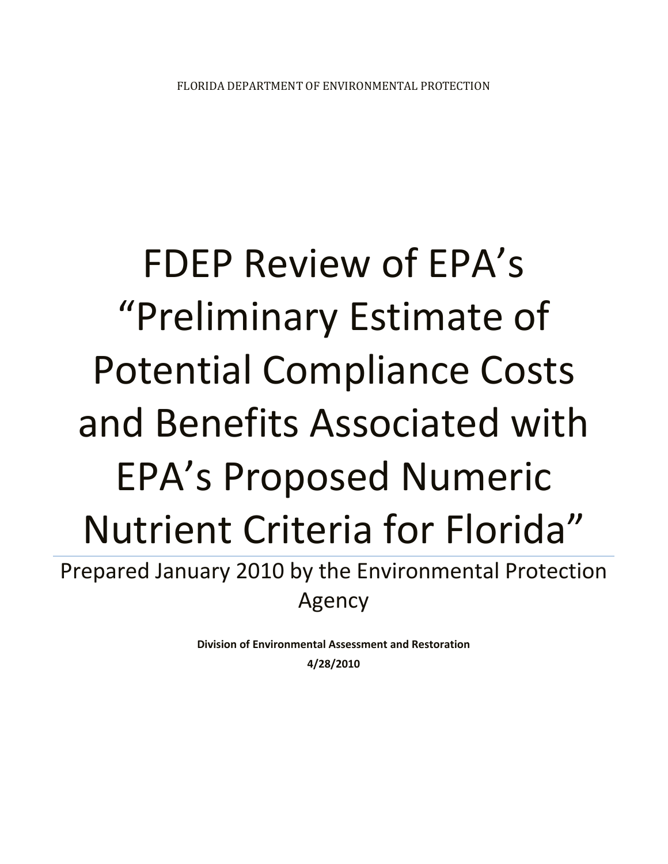# FDEP Review of EPA's "Preliminary Estimate of Potential Compliance Costs and Benefits Associated with EPA's Proposed Numeric Nutrient Criteria for Florida" Prepared January 2010 by the Environmental Protection Agency

**Division of Environmental Assessment and Restoration 4/28/2010**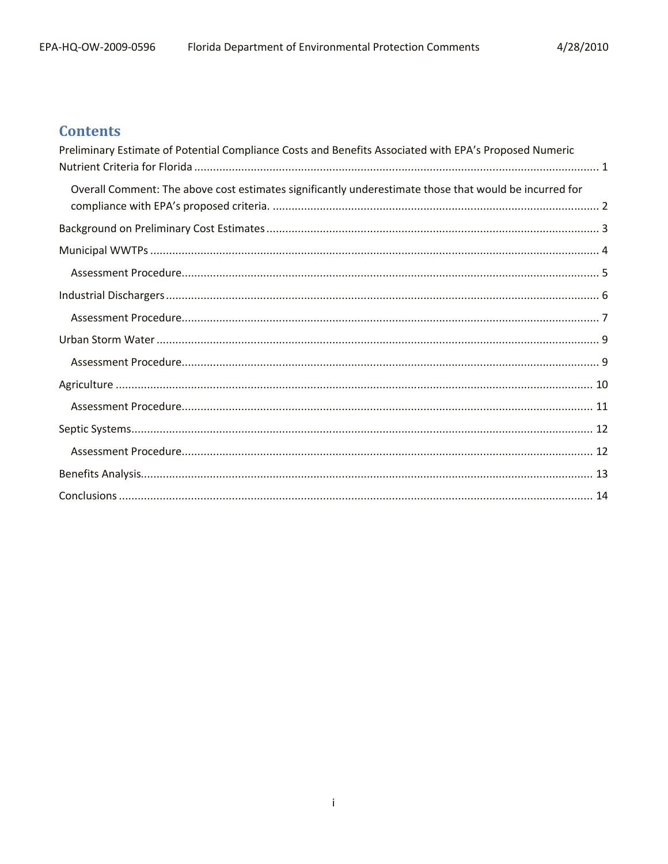# **Contents**

| Preliminary Estimate of Potential Compliance Costs and Benefits Associated with EPA's Proposed Numeric |
|--------------------------------------------------------------------------------------------------------|
| Overall Comment: The above cost estimates significantly underestimate those that would be incurred for |
|                                                                                                        |
|                                                                                                        |
|                                                                                                        |
|                                                                                                        |
|                                                                                                        |
|                                                                                                        |
|                                                                                                        |
|                                                                                                        |
|                                                                                                        |
|                                                                                                        |
|                                                                                                        |
|                                                                                                        |
|                                                                                                        |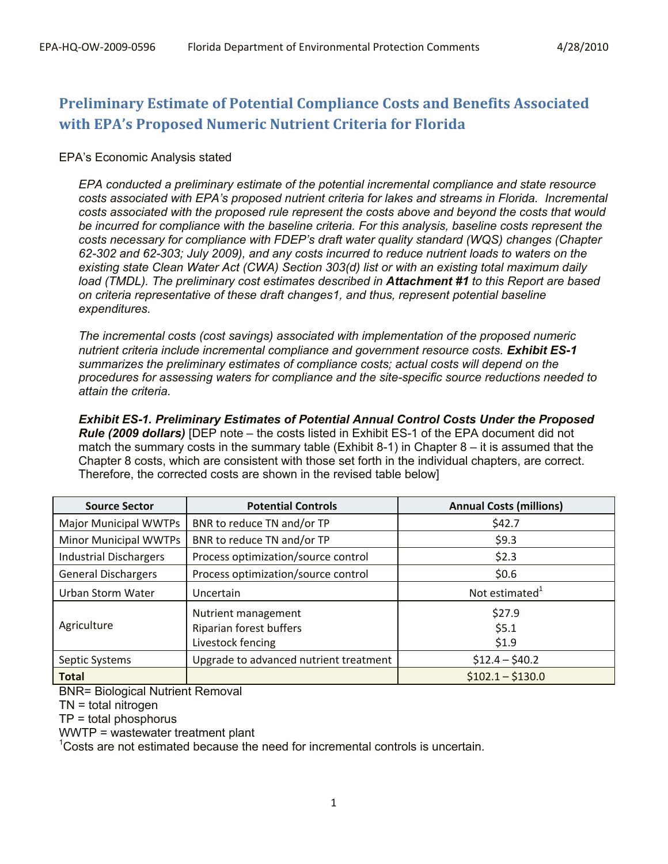# **Preliminary Estimate of Potential Compliance Costs and Benefits Associated with EPA's Proposed Numeric Nutrient Criteria for Florida**

#### EPA's Economic Analysis stated

*EPA conducted a preliminary estimate of the potential incremental compliance and state resource costs associated with EPA's proposed nutrient criteria for lakes and streams in Florida. Incremental costs associated with the proposed rule represent the costs above and beyond the costs that would be incurred for compliance with the baseline criteria. For this analysis, baseline costs represent the costs necessary for compliance with FDEP's draft water quality standard (WQS) changes (Chapter 62-302 and 62-303; July 2009), and any costs incurred to reduce nutrient loads to waters on the existing state Clean Water Act (CWA) Section 303(d) list or with an existing total maximum daily load (TMDL). The preliminary cost estimates described in Attachment #1 to this Report are based on criteria representative of these draft changes1, and thus, represent potential baseline expenditures.*

*The incremental costs (cost savings) associated with implementation of the proposed numeric nutrient criteria include incremental compliance and government resource costs. Exhibit ES-1 summarizes the preliminary estimates of compliance costs; actual costs will depend on the procedures for assessing waters for compliance and the site-specific source reductions needed to attain the criteria.*

*Exhibit ES-1. Preliminary Estimates of Potential Annual Control Costs Under the Proposed Rule (2009 dollars)* [DEP note – the costs listed in Exhibit ES-1 of the EPA document did not match the summary costs in the summary table (Exhibit 8-1) in Chapter  $8 - it$  is assumed that the Chapter 8 costs, which are consistent with those set forth in the individual chapters, are correct. Therefore, the corrected costs are shown in the revised table below]

| <b>Source Sector</b>          | <b>Potential Controls</b>              | <b>Annual Costs (millions)</b> |
|-------------------------------|----------------------------------------|--------------------------------|
| Major Municipal WWTPs         | BNR to reduce TN and/or TP             | \$42.7                         |
| Minor Municipal WWTPs         | BNR to reduce TN and/or TP             | \$9.3                          |
| <b>Industrial Dischargers</b> | Process optimization/source control    | \$2.3                          |
| <b>General Dischargers</b>    | Process optimization/source control    | \$0.6                          |
| Urban Storm Water             | Uncertain                              | Not estimated <sup>1</sup>     |
|                               | Nutrient management                    | \$27.9                         |
| Agriculture                   | Riparian forest buffers                | \$5.1                          |
|                               | Livestock fencing                      | \$1.9                          |
| Septic Systems                | Upgrade to advanced nutrient treatment | $$12.4 - $40.2$$               |
| <b>Total</b>                  |                                        | $$102.1 - $130.0$              |

BNR= Biological Nutrient Removal

TN = total nitrogen

TP = total phosphorus

WWTP = wastewater treatment plant

 $1$ Costs are not estimated because the need for incremental controls is uncertain.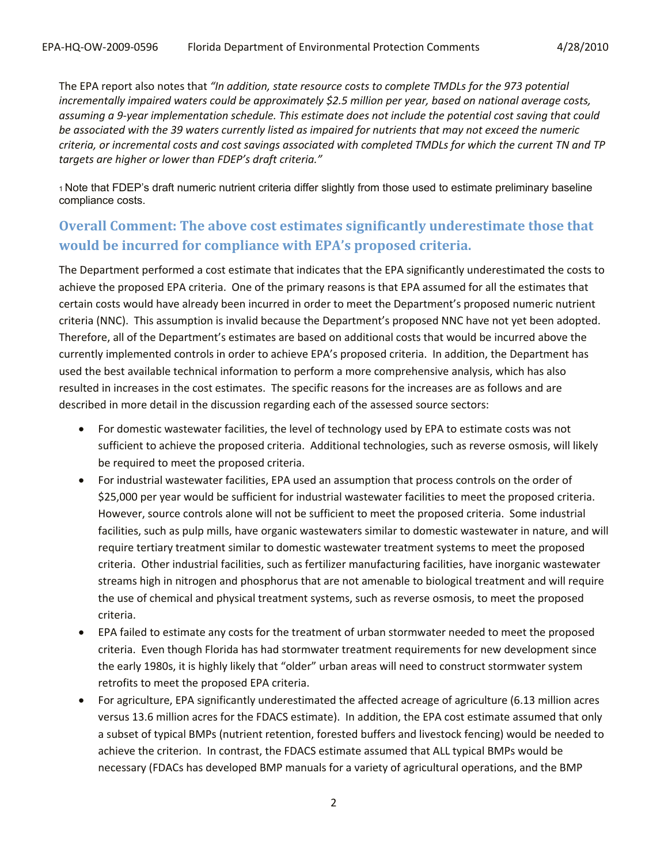The EPA report also notes that *"In addition, state resource costs to complete TMDLs for the 973 potential incrementally impaired waters could be approximately \$2.5 million per year, based on national average costs, assuming a 9-year implementation schedule. This estimate does not include the potential cost saving that could be associated with the 39 waters currently listed as impaired for nutrients that may not exceed the numeric criteria, or incremental costs and cost savings associated with completed TMDLs for which the current TN and TP targets are higher or lower than FDEP's draft criteria."*

<sup>1</sup>Note that FDEP's draft numeric nutrient criteria differ slightly from those used to estimate preliminary baseline compliance costs.

# **Overall Comment: The above cost estimates significantly underestimate those that would be incurred for compliance with EPA's proposed criteria.**

The Department performed a cost estimate that indicates that the EPA significantly underestimated the costs to achieve the proposed EPA criteria. One of the primary reasons is that EPA assumed for all the estimates that certain costs would have already been incurred in order to meet the Department's proposed numeric nutrient criteria (NNC). This assumption is invalid because the Department's proposed NNC have not yet been adopted. Therefore, all of the Department's estimates are based on additional costs that would be incurred above the currently implemented controls in order to achieve EPA's proposed criteria. In addition, the Department has used the best available technical information to perform a more comprehensive analysis, which has also resulted in increases in the cost estimates. The specific reasons for the increases are as follows and are described in more detail in the discussion regarding each of the assessed source sectors:

- For domestic wastewater facilities, the level of technology used by EPA to estimate costs was not sufficient to achieve the proposed criteria. Additional technologies, such as reverse osmosis, will likely be required to meet the proposed criteria.
- For industrial wastewater facilities, EPA used an assumption that process controls on the order of \$25,000 per year would be sufficient for industrial wastewater facilities to meet the proposed criteria. However, source controls alone will not be sufficient to meet the proposed criteria. Some industrial facilities, such as pulp mills, have organic wastewaters similar to domestic wastewater in nature, and will require tertiary treatment similar to domestic wastewater treatment systems to meet the proposed criteria. Other industrial facilities, such as fertilizer manufacturing facilities, have inorganic wastewater streams high in nitrogen and phosphorus that are not amenable to biological treatment and will require the use of chemical and physical treatment systems, such as reverse osmosis, to meet the proposed criteria.
- EPA failed to estimate any costs for the treatment of urban stormwater needed to meet the proposed criteria. Even though Florida has had stormwater treatment requirements for new development since the early 1980s, it is highly likely that "older" urban areas will need to construct stormwater system retrofits to meet the proposed EPA criteria.
- For agriculture, EPA significantly underestimated the affected acreage of agriculture (6.13 million acres versus 13.6 million acres for the FDACS estimate). In addition, the EPA cost estimate assumed that only a subset of typical BMPs (nutrient retention, forested buffers and livestock fencing) would be needed to achieve the criterion. In contrast, the FDACS estimate assumed that ALL typical BMPs would be necessary (FDACs has developed BMP manuals for a variety of agricultural operations, and the BMP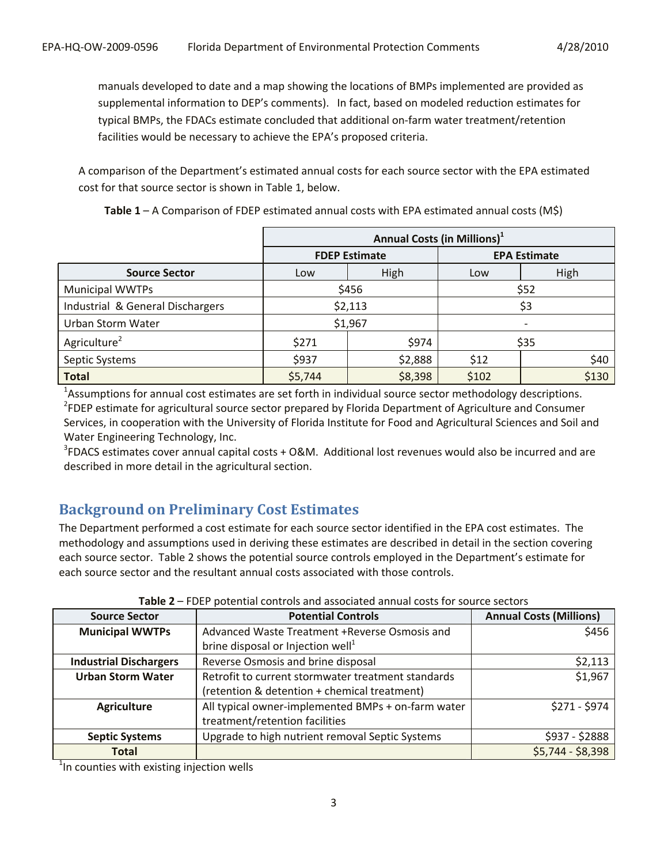manuals developed to date and a map showing the locations of BMPs implemented are provided as supplemental information to DEP's comments). In fact, based on modeled reduction estimates for typical BMPs, the FDACs estimate concluded that additional on-farm water treatment/retention facilities would be necessary to achieve the EPA's proposed criteria.

A comparison of the Department's estimated annual costs for each source sector with the EPA estimated cost for that source sector is shown in Table 1, below.

|                                  | Annual Costs (in Millions) <sup>1</sup> |                      |       |                     |
|----------------------------------|-----------------------------------------|----------------------|-------|---------------------|
|                                  |                                         | <b>FDEP Estimate</b> |       | <b>EPA Estimate</b> |
| <b>Source Sector</b>             | Low                                     | High                 | Low   | High                |
| <b>Municipal WWTPs</b>           | \$456                                   |                      | \$52  |                     |
| Industrial & General Dischargers | \$2,113                                 |                      | \$3   |                     |
| Urban Storm Water                | \$1,967                                 |                      |       |                     |
| Agriculture <sup>2</sup>         | \$271                                   | \$974                |       | \$35                |
| Septic Systems                   | \$937                                   | \$2,888              | \$12  | \$40                |
| <b>Total</b>                     | \$5,744                                 | \$8,398              | \$102 | \$130               |

**Table 1** – A Comparison of FDEP estimated annual costs with EPA estimated annual costs (M\$)

 $1$ Assumptions for annual cost estimates are set forth in individual source sector methodology descriptions. <sup>2</sup>FDEP estimate for agricultural source sector prepared by Florida Department of Agriculture and Consumer Services, in cooperation with the University of Florida Institute for Food and Agricultural Sciences and Soil and Water Engineering Technology, Inc.

<sup>3</sup>FDACS estimates cover annual capital costs + O&M. Additional lost revenues would also be incurred and are described in more detail in the agricultural section.

# **Background on Preliminary Cost Estimates**

The Department performed a cost estimate for each source sector identified in the EPA cost estimates. The methodology and assumptions used in deriving these estimates are described in detail in the section covering each source sector. Table 2 shows the potential source controls employed in the Department's estimate for each source sector and the resultant annual costs associated with those controls.

| <b>Source Sector</b>          | <b>Potential Controls</b>                          | <b>Annual Costs (Millions)</b> |
|-------------------------------|----------------------------------------------------|--------------------------------|
| <b>Municipal WWTPs</b>        | Advanced Waste Treatment +Reverse Osmosis and      | \$456                          |
|                               | brine disposal or Injection well <sup>1</sup>      |                                |
| <b>Industrial Dischargers</b> | Reverse Osmosis and brine disposal                 | \$2,113                        |
| <b>Urban Storm Water</b>      | Retrofit to current stormwater treatment standards | \$1,967                        |
|                               | (retention & detention + chemical treatment)       |                                |
| <b>Agriculture</b>            | All typical owner-implemented BMPs + on-farm water | \$271 - \$974                  |
|                               | treatment/retention facilities                     |                                |
| <b>Septic Systems</b>         | Upgrade to high nutrient removal Septic Systems    | \$937 - \$2888                 |
| <b>Total</b>                  |                                                    | $$5,744 - $8,398$              |

|  |  |  |  | Table 2 - FDEP potential controls and associated annual costs for source sectors |
|--|--|--|--|----------------------------------------------------------------------------------|
|--|--|--|--|----------------------------------------------------------------------------------|

<sup>1</sup>In counties with existing injection wells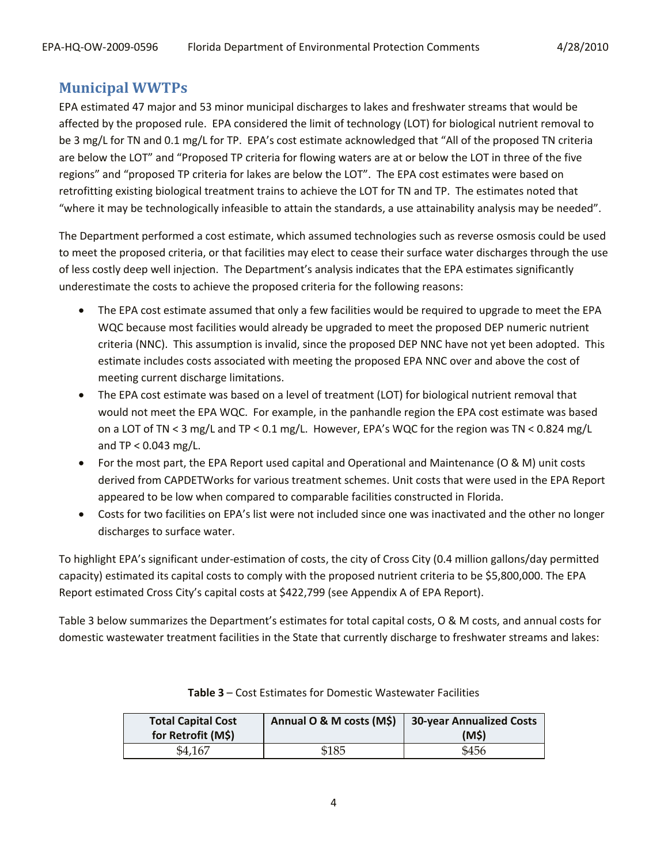## **Municipal WWTPs**

EPA estimated 47 major and 53 minor municipal discharges to lakes and freshwater streams that would be affected by the proposed rule. EPA considered the limit of technology (LOT) for biological nutrient removal to be 3 mg/L for TN and 0.1 mg/L for TP. EPA's cost estimate acknowledged that "All of the proposed TN criteria are below the LOT" and "Proposed TP criteria for flowing waters are at or below the LOT in three of the five regions" and "proposed TP criteria for lakes are below the LOT". The EPA cost estimates were based on retrofitting existing biological treatment trains to achieve the LOT for TN and TP. The estimates noted that "where it may be technologically infeasible to attain the standards, a use attainability analysis may be needed".

The Department performed a cost estimate, which assumed technologies such as reverse osmosis could be used to meet the proposed criteria, or that facilities may elect to cease their surface water discharges through the use of less costly deep well injection. The Department's analysis indicates that the EPA estimates significantly underestimate the costs to achieve the proposed criteria for the following reasons:

- The EPA cost estimate assumed that only a few facilities would be required to upgrade to meet the EPA WQC because most facilities would already be upgraded to meet the proposed DEP numeric nutrient criteria (NNC). This assumption is invalid, since the proposed DEP NNC have not yet been adopted. This estimate includes costs associated with meeting the proposed EPA NNC over and above the cost of meeting current discharge limitations.
- The EPA cost estimate was based on a level of treatment (LOT) for biological nutrient removal that would not meet the EPA WQC. For example, in the panhandle region the EPA cost estimate was based on a LOT of TN < 3 mg/L and TP < 0.1 mg/L. However, EPA's WQC for the region was TN < 0.824 mg/L and TP < 0.043 mg/L.
- For the most part, the EPA Report used capital and Operational and Maintenance (O & M) unit costs derived from CAPDETWorks for various treatment schemes. Unit costs that were used in the EPA Report appeared to be low when compared to comparable facilities constructed in Florida.
- Costs for two facilities on EPA's list were not included since one was inactivated and the other no longer discharges to surface water.

To highlight EPA's significant under-estimation of costs, the city of Cross City (0.4 million gallons/day permitted capacity) estimated its capital costs to comply with the proposed nutrient criteria to be \$5,800,000. The EPA Report estimated Cross City's capital costs at \$422,799 (see Appendix A of EPA Report).

Table 3 below summarizes the Department's estimates for total capital costs, O & M costs, and annual costs for domestic wastewater treatment facilities in the State that currently discharge to freshwater streams and lakes:

| <b>Total Capital Cost</b><br>for Retrofit (M\$) | Annual O & M costs (M\$) | <b>30-year Annualized Costs</b><br>(M\$) |
|-------------------------------------------------|--------------------------|------------------------------------------|
| \$4,167                                         | \$185                    | \$456                                    |

| Table 3 - Cost Estimates for Domestic Wastewater Facilities |
|-------------------------------------------------------------|
|-------------------------------------------------------------|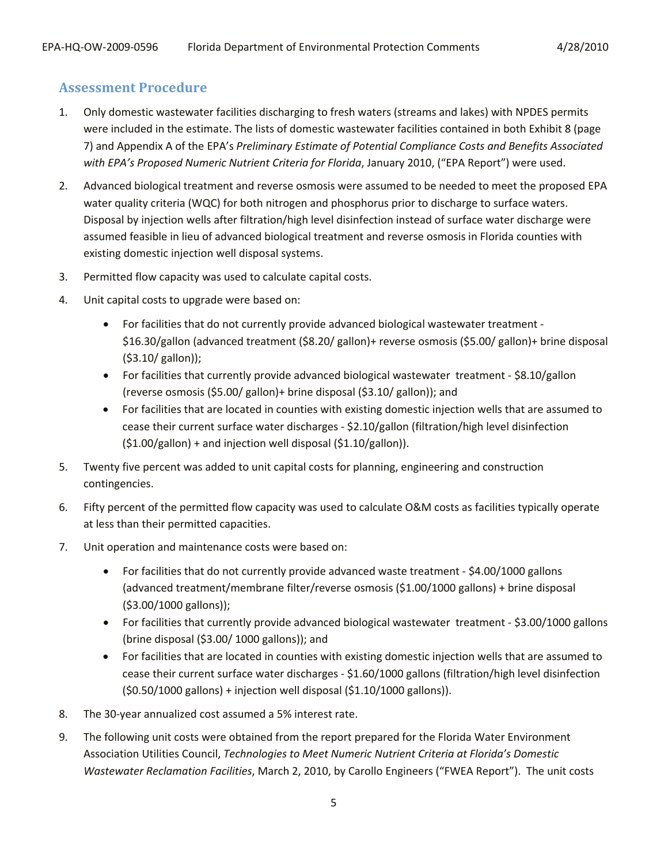## **Assessment Procedure**

- 1. Only domestic wastewater facilities discharging to fresh waters (streams and lakes) with NPDES permits were included in the estimate. The lists of domestic wastewater facilities contained in both Exhibit 8 (page 7) and Appendix A of the EPA's *Preliminary Estimate of Potential Compliance Costs and Benefits Associated with EPA's Proposed Numeric Nutrient Criteria for Florida*, January 2010, ("EPA Report") were used.
- 2. Advanced biological treatment and reverse osmosis were assumed to be needed to meet the proposed EPA water quality criteria (WQC) for both nitrogen and phosphorus prior to discharge to surface waters. Disposal by injection wells after filtration/high level disinfection instead of surface water discharge were assumed feasible in lieu of advanced biological treatment and reverse osmosis in Florida counties with existing domestic injection well disposal systems.
- 3. Permitted flow capacity was used to calculate capital costs.
- 4. Unit capital costs to upgrade were based on:
	- For facilities that do not currently provide advanced biological wastewater treatment \$16.30/gallon (advanced treatment (\$8.20/ gallon)+ reverse osmosis (\$5.00/ gallon)+ brine disposal (\$3.10/ gallon));
	- For facilities that currently provide advanced biological wastewater treatment \$8.10/gallon (reverse osmosis (\$5.00/ gallon)+ brine disposal (\$3.10/ gallon)); and
	- For facilities that are located in counties with existing domestic injection wells that are assumed to cease their current surface water discharges - \$2.10/gallon (filtration/high level disinfection (\$1.00/gallon) + and injection well disposal (\$1.10/gallon)).
- 5. Twenty five percent was added to unit capital costs for planning, engineering and construction contingencies.
- 6. Fifty percent of the permitted flow capacity was used to calculate O&M costs as facilities typically operate at less than their permitted capacities.
- 7. Unit operation and maintenance costs were based on:
	- For facilities that do not currently provide advanced waste treatment \$4.00/1000 gallons (advanced treatment/membrane filter/reverse osmosis (\$1.00/1000 gallons) + brine disposal (\$3.00/1000 gallons));
	- For facilities that currently provide advanced biological wastewater treatment \$3.00/1000 gallons (brine disposal (\$3.00/ 1000 gallons)); and
	- For facilities that are located in counties with existing domestic injection wells that are assumed to cease their current surface water discharges - \$1.60/1000 gallons (filtration/high level disinfection (\$0.50/1000 gallons) + injection well disposal (\$1.10/1000 gallons)).
- 8. The 30-year annualized cost assumed a 5% interest rate.
- 9. The following unit costs were obtained from the report prepared for the Florida Water Environment Association Utilities Council, *Technologies to Meet Numeric Nutrient Criteria at Florida's Domestic Wastewater Reclamation Facilities*, March 2, 2010, by Carollo Engineers ("FWEA Report"). The unit costs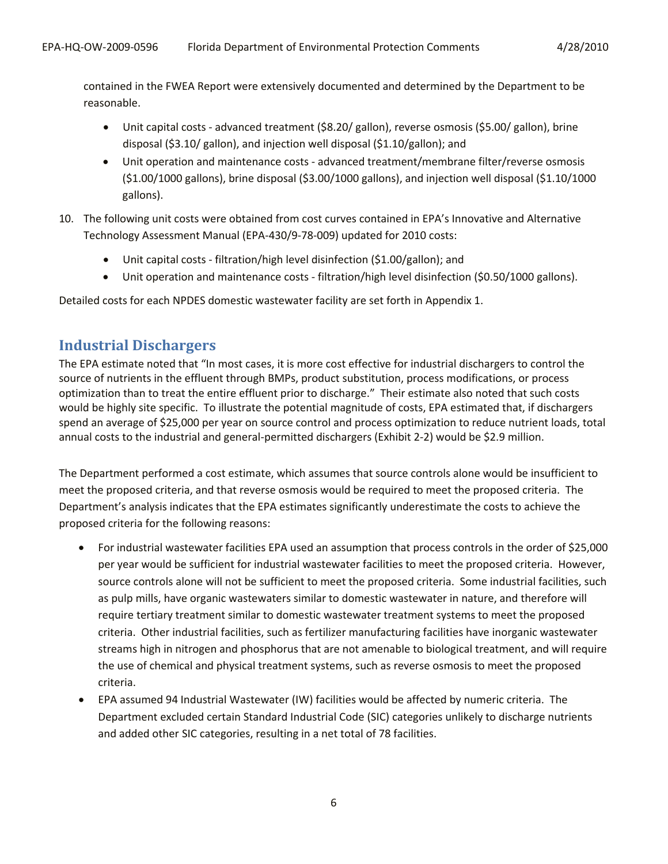contained in the FWEA Report were extensively documented and determined by the Department to be reasonable.

- Unit capital costs advanced treatment (\$8.20/ gallon), reverse osmosis (\$5.00/ gallon), brine disposal (\$3.10/ gallon), and injection well disposal (\$1.10/gallon); and
- Unit operation and maintenance costs advanced treatment/membrane filter/reverse osmosis (\$1.00/1000 gallons), brine disposal (\$3.00/1000 gallons), and injection well disposal (\$1.10/1000 gallons).
- 10. The following unit costs were obtained from cost curves contained in EPA's Innovative and Alternative Technology Assessment Manual (EPA-430/9-78-009) updated for 2010 costs:
	- Unit capital costs filtration/high level disinfection (\$1.00/gallon); and
	- Unit operation and maintenance costs filtration/high level disinfection (\$0.50/1000 gallons).

Detailed costs for each NPDES domestic wastewater facility are set forth in Appendix 1.

## **Industrial Dischargers**

The EPA estimate noted that "In most cases, it is more cost effective for industrial dischargers to control the source of nutrients in the effluent through BMPs, product substitution, process modifications, or process optimization than to treat the entire effluent prior to discharge." Their estimate also noted that such costs would be highly site specific. To illustrate the potential magnitude of costs, EPA estimated that, if dischargers spend an average of \$25,000 per year on source control and process optimization to reduce nutrient loads, total annual costs to the industrial and general-permitted dischargers (Exhibit 2-2) would be \$2.9 million.

The Department performed a cost estimate, which assumes that source controls alone would be insufficient to meet the proposed criteria, and that reverse osmosis would be required to meet the proposed criteria. The Department's analysis indicates that the EPA estimates significantly underestimate the costs to achieve the proposed criteria for the following reasons:

- For industrial wastewater facilities EPA used an assumption that process controls in the order of \$25,000 per year would be sufficient for industrial wastewater facilities to meet the proposed criteria. However, source controls alone will not be sufficient to meet the proposed criteria. Some industrial facilities, such as pulp mills, have organic wastewaters similar to domestic wastewater in nature, and therefore will require tertiary treatment similar to domestic wastewater treatment systems to meet the proposed criteria. Other industrial facilities, such as fertilizer manufacturing facilities have inorganic wastewater streams high in nitrogen and phosphorus that are not amenable to biological treatment, and will require the use of chemical and physical treatment systems, such as reverse osmosis to meet the proposed criteria.
- EPA assumed 94 Industrial Wastewater (IW) facilities would be affected by numeric criteria. The Department excluded certain Standard Industrial Code (SIC) categories unlikely to discharge nutrients and added other SIC categories, resulting in a net total of 78 facilities.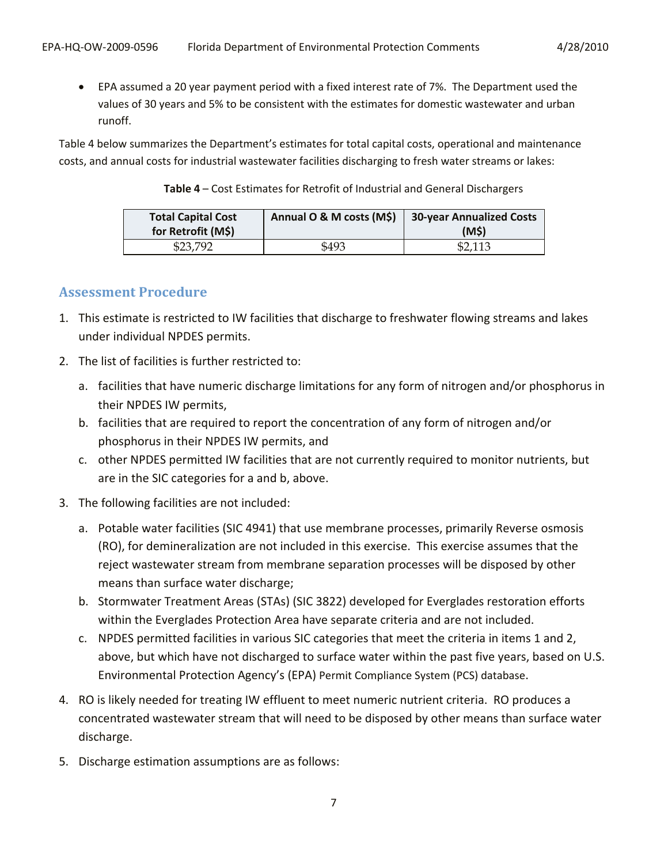EPA assumed a 20 year payment period with a fixed interest rate of 7%. The Department used the values of 30 years and 5% to be consistent with the estimates for domestic wastewater and urban runoff.

Table 4 below summarizes the Department's estimates for total capital costs, operational and maintenance costs, and annual costs for industrial wastewater facilities discharging to fresh water streams or lakes:

**Table 4** – Cost Estimates for Retrofit of Industrial and General Dischargers

| <b>Total Capital Cost</b><br>for Retrofit (M\$) | Annual O & M costs (M\$) | <b>30-year Annualized Costs</b><br>(M\$) |
|-------------------------------------------------|--------------------------|------------------------------------------|
| \$23,792                                        | \$493                    | \$2,113                                  |

#### **Assessment Procedure**

- 1. This estimate is restricted to IW facilities that discharge to freshwater flowing streams and lakes under individual NPDES permits.
- 2. The list of facilities is further restricted to:
	- a. facilities that have numeric discharge limitations for any form of nitrogen and/or phosphorus in their NPDES IW permits,
	- b. facilities that are required to report the concentration of any form of nitrogen and/or phosphorus in their NPDES IW permits, and
	- c. other NPDES permitted IW facilities that are not currently required to monitor nutrients, but are in the SIC categories for a and b, above.
- 3. The following facilities are not included:
	- a. Potable water facilities (SIC 4941) that use membrane processes, primarily Reverse osmosis (RO), for demineralization are not included in this exercise. This exercise assumes that the reject wastewater stream from membrane separation processes will be disposed by other means than surface water discharge;
	- b. Stormwater Treatment Areas (STAs) (SIC 3822) developed for Everglades restoration efforts within the Everglades Protection Area have separate criteria and are not included.
	- c. NPDES permitted facilities in various SIC categories that meet the criteria in items 1 and 2, above, but which have not discharged to surface water within the past five years, based on U.S. Environmental Protection Agency's (EPA) Permit Compliance System (PCS) database.
- 4. RO is likely needed for treating IW effluent to meet numeric nutrient criteria. RO produces a concentrated wastewater stream that will need to be disposed by other means than surface water discharge.
- 5. Discharge estimation assumptions are as follows: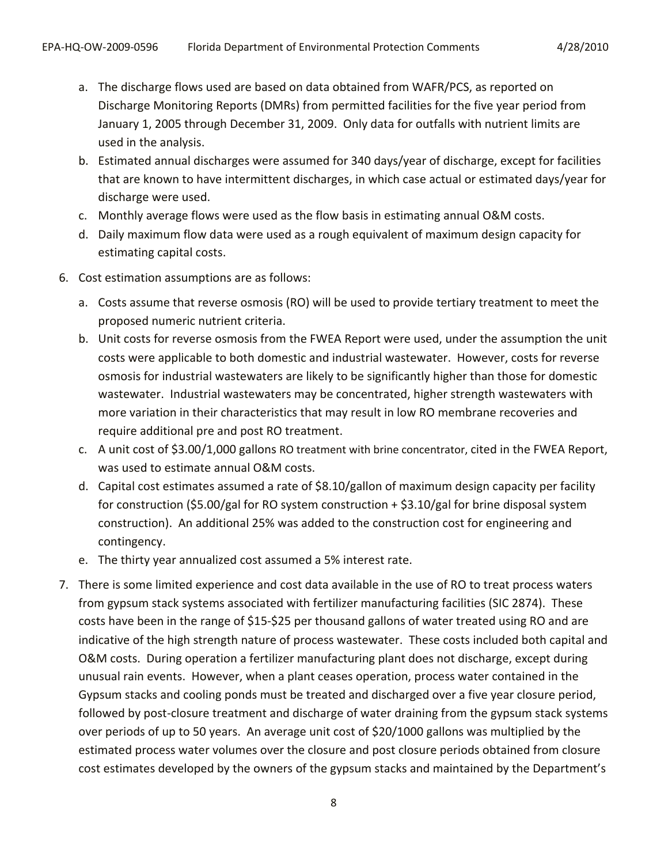- a. The discharge flows used are based on data obtained from WAFR/PCS, as reported on Discharge Monitoring Reports (DMRs) from permitted facilities for the five year period from January 1, 2005 through December 31, 2009. Only data for outfalls with nutrient limits are used in the analysis.
- b. Estimated annual discharges were assumed for 340 days/year of discharge, except for facilities that are known to have intermittent discharges, in which case actual or estimated days/year for discharge were used.
- c. Monthly average flows were used as the flow basis in estimating annual O&M costs.
- d. Daily maximum flow data were used as a rough equivalent of maximum design capacity for estimating capital costs.
- 6. Cost estimation assumptions are as follows:
	- a. Costs assume that reverse osmosis (RO) will be used to provide tertiary treatment to meet the proposed numeric nutrient criteria.
	- b. Unit costs for reverse osmosis from the FWEA Report were used, under the assumption the unit costs were applicable to both domestic and industrial wastewater. However, costs for reverse osmosis for industrial wastewaters are likely to be significantly higher than those for domestic wastewater. Industrial wastewaters may be concentrated, higher strength wastewaters with more variation in their characteristics that may result in low RO membrane recoveries and require additional pre and post RO treatment.
	- c. A unit cost of \$3.00/1,000 gallons RO treatment with brine concentrator, cited in the FWEA Report, was used to estimate annual O&M costs.
	- d. Capital cost estimates assumed a rate of \$8.10/gallon of maximum design capacity per facility for construction (\$5.00/gal for RO system construction + \$3.10/gal for brine disposal system construction). An additional 25% was added to the construction cost for engineering and contingency.
	- e. The thirty year annualized cost assumed a 5% interest rate.
- 7. There is some limited experience and cost data available in the use of RO to treat process waters from gypsum stack systems associated with fertilizer manufacturing facilities (SIC 2874). These costs have been in the range of \$15-\$25 per thousand gallons of water treated using RO and are indicative of the high strength nature of process wastewater. These costs included both capital and O&M costs. During operation a fertilizer manufacturing plant does not discharge, except during unusual rain events. However, when a plant ceases operation, process water contained in the Gypsum stacks and cooling ponds must be treated and discharged over a five year closure period, followed by post-closure treatment and discharge of water draining from the gypsum stack systems over periods of up to 50 years. An average unit cost of \$20/1000 gallons was multiplied by the estimated process water volumes over the closure and post closure periods obtained from closure cost estimates developed by the owners of the gypsum stacks and maintained by the Department's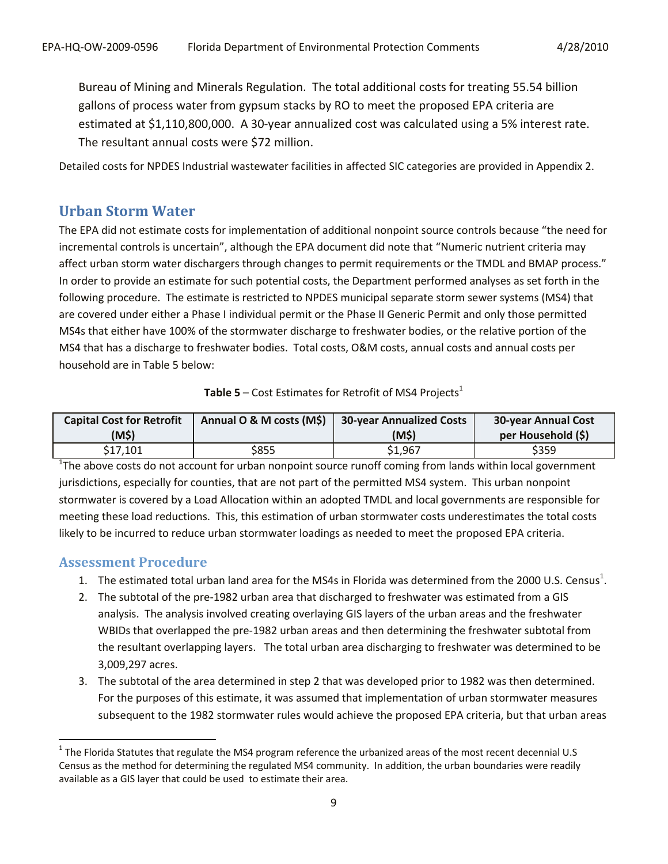Bureau of Mining and Minerals Regulation. The total additional costs for treating 55.54 billion gallons of process water from gypsum stacks by RO to meet the proposed EPA criteria are estimated at \$1,110,800,000. A 30-year annualized cost was calculated using a 5% interest rate. The resultant annual costs were \$72 million.

Detailed costs for NPDES Industrial wastewater facilities in affected SIC categories are provided in Appendix 2.

## **Urban Storm Water**

The EPA did not estimate costs for implementation of additional nonpoint source controls because "the need for incremental controls is uncertain", although the EPA document did note that "Numeric nutrient criteria may affect urban storm water dischargers through changes to permit requirements or the TMDL and BMAP process." In order to provide an estimate for such potential costs, the Department performed analyses as set forth in the following procedure. The estimate is restricted to NPDES municipal separate storm sewer systems (MS4) that are covered under either a Phase I individual permit or the Phase II Generic Permit and only those permitted MS4s that either have 100% of the stormwater discharge to freshwater bodies, or the relative portion of the MS4 that has a discharge to freshwater bodies. Total costs, O&M costs, annual costs and annual costs per household are in Table 5 below:

| Table 5 – Cost Estimates for Retrofit of MS4 Projects <sup>1</sup> |  |  |
|--------------------------------------------------------------------|--|--|
|--------------------------------------------------------------------|--|--|

| <b>Capital Cost for Retrofit</b> | Annual O & M costs (M\$) | <b>30-year Annualized Costs</b> | <b>30-year Annual Cost</b> |
|----------------------------------|--------------------------|---------------------------------|----------------------------|
| (M\$)                            |                          | (M5)                            | per Household (\$)         |
| \$17.101                         | \$855                    | \$1,967                         | \$359                      |

<sup>1</sup>The above costs do not account for urban nonpoint source runoff coming from lands within local government jurisdictions, especially for counties, that are not part of the permitted MS4 system. This urban nonpoint stormwater is covered by a Load Allocation within an adopted TMDL and local governments are responsible for meeting these load reductions. This, this estimation of urban stormwater costs underestimates the total costs likely to be incurred to reduce urban stormwater loadings as needed to meet the proposed EPA criteria.

#### **Assessment Procedure**

 $\overline{a}$ 

- 1. The estimated total urban land area for the MS4s in Florida was determined from the 2000 U.S. Census<sup>1</sup>.
- 2. The subtotal of the pre-1982 urban area that discharged to freshwater was estimated from a GIS analysis. The analysis involved creating overlaying GIS layers of the urban areas and the freshwater WBIDs that overlapped the pre-1982 urban areas and then determining the freshwater subtotal from the resultant overlapping layers. The total urban area discharging to freshwater was determined to be 3,009,297 acres.
- 3. The subtotal of the area determined in step 2 that was developed prior to 1982 was then determined. For the purposes of this estimate, it was assumed that implementation of urban stormwater measures subsequent to the 1982 stormwater rules would achieve the proposed EPA criteria, but that urban areas

 $^1$  The Florida Statutes that regulate the MS4 program reference the urbanized areas of the most recent decennial U.S Census as the method for determining the regulated MS4 community. In addition, the urban boundaries were readily available as a GIS layer that could be used to estimate their area.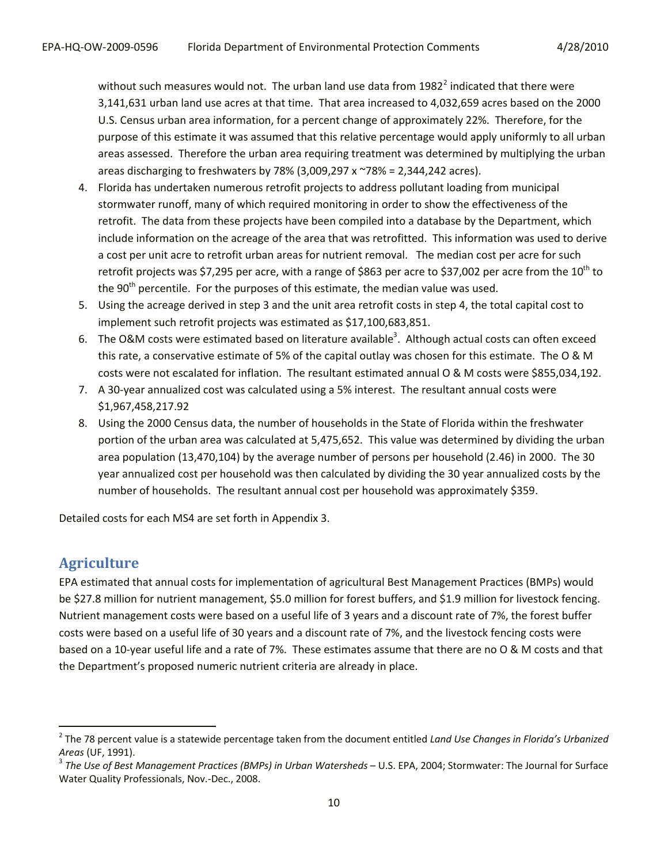without such measures would not. The urban land use data from 1982<sup>2</sup> indicated that there were 3,141,631 urban land use acres at that time. That area increased to 4,032,659 acres based on the 2000 U.S. Census urban area information, for a percent change of approximately 22%. Therefore, for the purpose of this estimate it was assumed that this relative percentage would apply uniformly to all urban areas assessed. Therefore the urban area requiring treatment was determined by multiplying the urban areas discharging to freshwaters by 78% (3,009,297 x  $\sim$  78% = 2,344,242 acres).

- 4. Florida has undertaken numerous retrofit projects to address pollutant loading from municipal stormwater runoff, many of which required monitoring in order to show the effectiveness of the retrofit. The data from these projects have been compiled into a database by the Department, which include information on the acreage of the area that was retrofitted. This information was used to derive a cost per unit acre to retrofit urban areas for nutrient removal. The median cost per acre for such retrofit projects was \$7,295 per acre, with a range of \$863 per acre to \$37,002 per acre from the  $10^{\text{th}}$  to the  $90<sup>th</sup>$  percentile. For the purposes of this estimate, the median value was used.
- 5. Using the acreage derived in step 3 and the unit area retrofit costs in step 4, the total capital cost to implement such retrofit projects was estimated as \$17,100,683,851.
- 6. The O&M costs were estimated based on literature available<sup>3</sup>. Although actual costs can often exceed this rate, a conservative estimate of 5% of the capital outlay was chosen for this estimate. The O & M costs were not escalated for inflation. The resultant estimated annual O & M costs were \$855,034,192.
- 7. A 30-year annualized cost was calculated using a 5% interest. The resultant annual costs were \$1,967,458,217.92
- 8. Using the 2000 Census data, the number of households in the State of Florida within the freshwater portion of the urban area was calculated at 5,475,652. This value was determined by dividing the urban area population (13,470,104) by the average number of persons per household (2.46) in 2000. The 30 year annualized cost per household was then calculated by dividing the 30 year annualized costs by the number of households. The resultant annual cost per household was approximately \$359.

Detailed costs for each MS4 are set forth in Appendix 3.

# **Agriculture**

 $\overline{a}$ 

EPA estimated that annual costs for implementation of agricultural Best Management Practices (BMPs) would be \$27.8 million for nutrient management, \$5.0 million for forest buffers, and \$1.9 million for livestock fencing. Nutrient management costs were based on a useful life of 3 years and a discount rate of 7%, the forest buffer costs were based on a useful life of 30 years and a discount rate of 7%, and the livestock fencing costs were based on a 10-year useful life and a rate of 7%. These estimates assume that there are no O & M costs and that the Department's proposed numeric nutrient criteria are already in place.

<sup>2</sup> The 78 percent value is a statewide percentage taken from the document entitled *Land Use Changes in Florida's Urbanized Areas* (UF, 1991).

<sup>3</sup> *The Use of Best Management Practices (BMPs) in Urban Watersheds –* U.S. EPA, 2004; Stormwater: The Journal for Surface Water Quality Professionals, Nov.-Dec., 2008.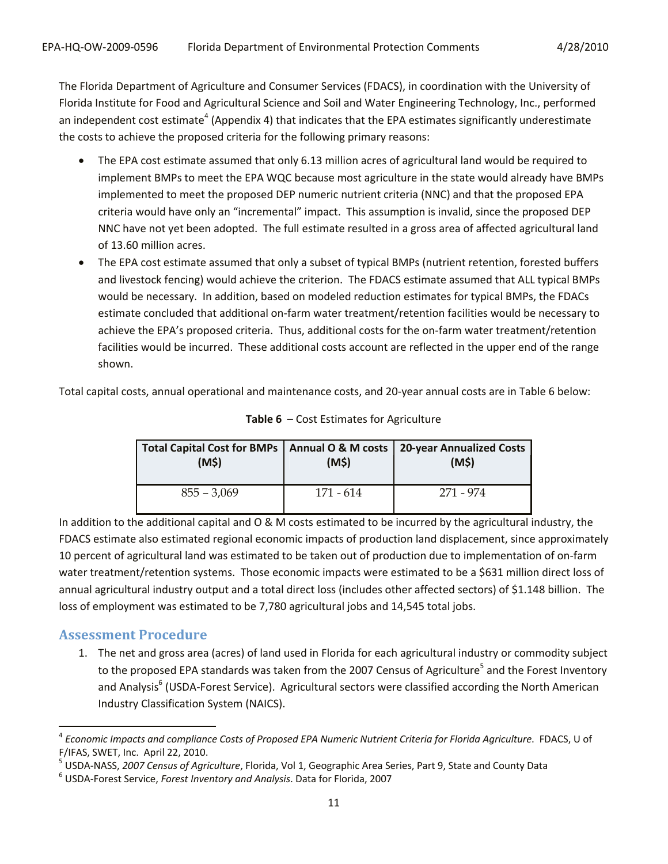The Florida Department of Agriculture and Consumer Services (FDACS), in coordination with the University of Florida Institute for Food and Agricultural Science and Soil and Water Engineering Technology, Inc., performed an independent cost estimate<sup>4</sup> (Appendix 4) that indicates that the EPA estimates significantly underestimate the costs to achieve the proposed criteria for the following primary reasons:

- The EPA cost estimate assumed that only 6.13 million acres of agricultural land would be required to implement BMPs to meet the EPA WQC because most agriculture in the state would already have BMPs implemented to meet the proposed DEP numeric nutrient criteria (NNC) and that the proposed EPA criteria would have only an "incremental" impact. This assumption is invalid, since the proposed DEP NNC have not yet been adopted. The full estimate resulted in a gross area of affected agricultural land of 13.60 million acres.
- The EPA cost estimate assumed that only a subset of typical BMPs (nutrient retention, forested buffers and livestock fencing) would achieve the criterion. The FDACS estimate assumed that ALL typical BMPs would be necessary. In addition, based on modeled reduction estimates for typical BMPs, the FDACs estimate concluded that additional on-farm water treatment/retention facilities would be necessary to achieve the EPA's proposed criteria. Thus, additional costs for the on-farm water treatment/retention facilities would be incurred. These additional costs account are reflected in the upper end of the range shown.

Total capital costs, annual operational and maintenance costs, and 20-year annual costs are in Table 6 below:

| Total Capital Cost for BMPs   Annual O & M costs<br>(M\$) | (M\$)     | <b>20-year Annualized Costs</b><br>(M\$) |
|-----------------------------------------------------------|-----------|------------------------------------------|
| $855 - 3,069$                                             | 171 - 614 | 271 - 974                                |

**Table 6** – Cost Estimates for Agriculture

In addition to the additional capital and O & M costs estimated to be incurred by the agricultural industry, the FDACS estimate also estimated regional economic impacts of production land displacement, since approximately 10 percent of agricultural land was estimated to be taken out of production due to implementation of on-farm water treatment/retention systems. Those economic impacts were estimated to be a \$631 million direct loss of annual agricultural industry output and a total direct loss (includes other affected sectors) of \$1.148 billion. The loss of employment was estimated to be 7,780 agricultural jobs and 14,545 total jobs.

## **Assessment Procedure**

 $\overline{a}$ 

1. The net and gross area (acres) of land used in Florida for each agricultural industry or commodity subject to the proposed EPA standards was taken from the 2007 Census of Agriculture<sup>5</sup> and the Forest Inventory and Analysis<sup>6</sup> (USDA-Forest Service). Agricultural sectors were classified according the North American Industry Classification System (NAICS).

<sup>4</sup> *Economic Impacts and compliance Costs of Proposed EPA Numeric Nutrient Criteria for Florida Agriculture*. FDACS, U of F/IFAS, SWET, Inc. April 22, 2010.

<sup>5</sup> USDA-NASS, *2007 Census of Agriculture*, Florida, Vol 1, Geographic Area Series, Part 9, State and County Data

<sup>6</sup> USDA-Forest Service, *Forest Inventory and Analysis*. Data for Florida, 2007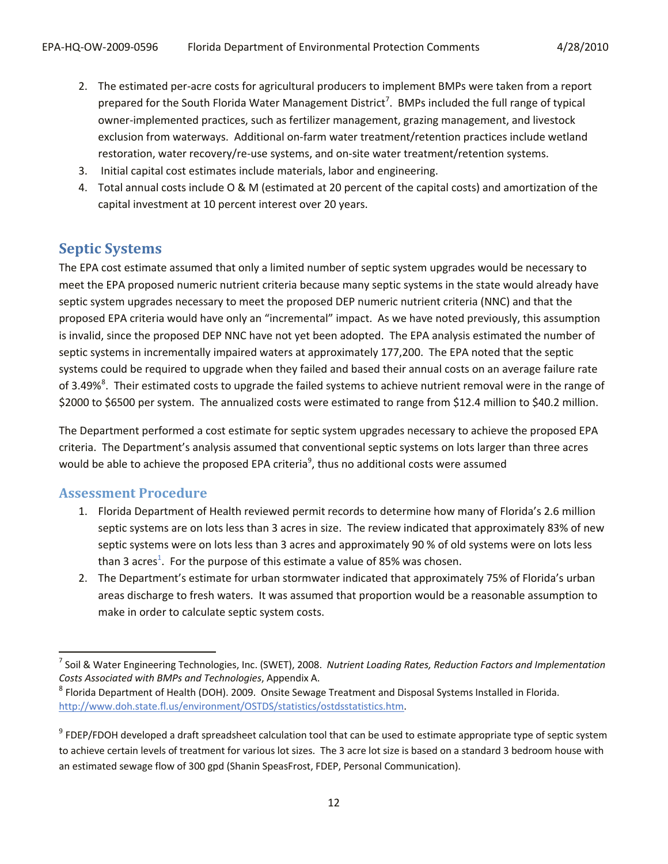- 2. The estimated per-acre costs for agricultural producers to implement BMPs were taken from a report prepared for the South Florida Water Management District<sup>7</sup>. BMPs included the full range of typical owner-implemented practices, such as fertilizer management, grazing management, and livestock exclusion from waterways. Additional on-farm water treatment/retention practices include wetland restoration, water recovery/re-use systems, and on-site water treatment/retention systems.
- 3. Initial capital cost estimates include materials, labor and engineering.
- 4. Total annual costs include O & M (estimated at 20 percent of the capital costs) and amortization of the capital investment at 10 percent interest over 20 years.

## **Septic Systems**

The EPA cost estimate assumed that only a limited number of septic system upgrades would be necessary to meet the EPA proposed numeric nutrient criteria because many septic systems in the state would already have septic system upgrades necessary to meet the proposed DEP numeric nutrient criteria (NNC) and that the proposed EPA criteria would have only an "incremental" impact. As we have noted previously, this assumption is invalid, since the proposed DEP NNC have not yet been adopted. The EPA analysis estimated the number of septic systems in incrementally impaired waters at approximately 177,200. The EPA noted that the septic systems could be required to upgrade when they failed and based their annual costs on an average failure rate of 3.49%<sup>8</sup>. Their estimated costs to upgrade the failed systems to achieve nutrient removal were in the range of \$2000 to \$6500 per system. The annualized costs were estimated to range from \$12.4 million to \$40.2 million.

The Department performed a cost estimate for septic system upgrades necessary to achieve the proposed EPA criteria. The Department's analysis assumed that conventional septic systems on lots larger than three acres would be able to achieve the proposed EPA criteria $^9$ , thus no additional costs were assumed

## **Assessment Procedure**

 $\overline{a}$ 

- 1. Florida Department of Health reviewed permit records to determine how many of Florida's 2.6 million septic systems are on lots less than 3 acres in size. The review indicated that approximately 83% of new septic systems were on lots less than 3 acres and approximately 90 % of old systems were on lots less than 3 acres<sup>1</sup>. For the purpose of this estimate a value of 85% was chosen.
- 2. The Department's estimate for urban stormwater indicated that approximately 75% of Florida's urban areas discharge to fresh waters. It was assumed that proportion would be a reasonable assumption to make in order to calculate septic system costs.

<sup>7</sup> Soil & Water Engineering Technologies, Inc. (SWET), 2008. *Nutrient Loading Rates, Reduction Factors and Implementation Costs Associated with BMPs and Technologies*, Appendix A.

<sup>&</sup>lt;sup>8</sup> Florida Department of Health (DOH). 2009. Onsite Sewage Treatment and Disposal Systems Installed in Florida. http://www.doh.state.fl.us/environment/OSTDS/statistics/ostdsstatistics.htm.

 $^9$  FDEP/FDOH developed a draft spreadsheet calculation tool that can be used to estimate appropriate type of septic system to achieve certain levels of treatment for various lot sizes. The 3 acre lot size is based on a standard 3 bedroom house with an estimated sewage flow of 300 gpd (Shanin SpeasFrost, FDEP, Personal Communication).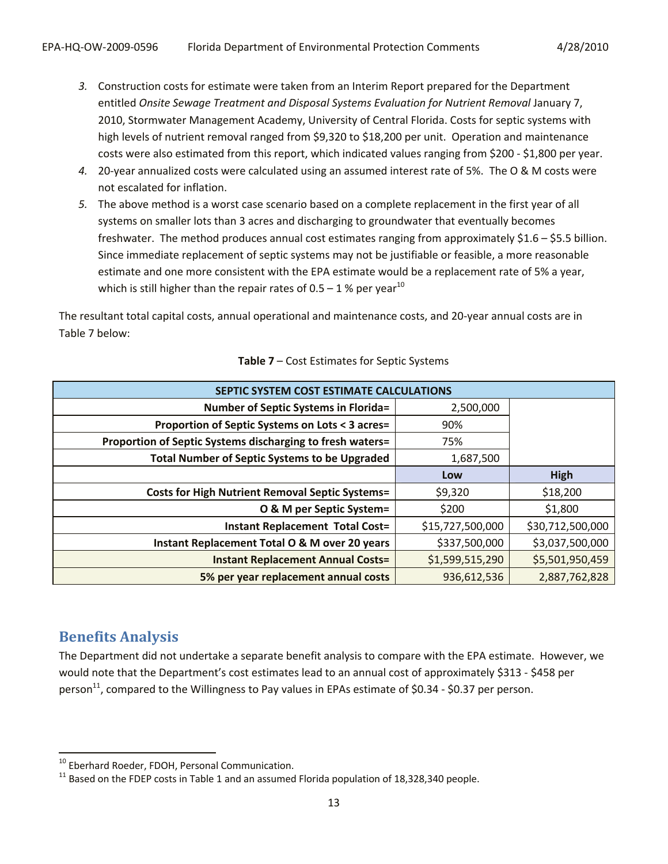- *3.* Construction costs for estimate were taken from an Interim Report prepared for the Department entitled *Onsite Sewage Treatment and Disposal Systems Evaluation for Nutrient Removal* January 7, 2010, Stormwater Management Academy, University of Central Florida. Costs for septic systems with high levels of nutrient removal ranged from \$9,320 to \$18,200 per unit. Operation and maintenance costs were also estimated from this report, which indicated values ranging from \$200 - \$1,800 per year.
- *4.* 20-year annualized costs were calculated using an assumed interest rate of 5%. The O & M costs were not escalated for inflation.
- *5.* The above method is a worst case scenario based on a complete replacement in the first year of all systems on smaller lots than 3 acres and discharging to groundwater that eventually becomes freshwater. The method produces annual cost estimates ranging from approximately \$1.6 – \$5.5 billion. Since immediate replacement of septic systems may not be justifiable or feasible, a more reasonable estimate and one more consistent with the EPA estimate would be a replacement rate of 5% a year, which is still higher than the repair rates of  $0.5 - 1$  % per year<sup>10</sup>

The resultant total capital costs, annual operational and maintenance costs, and 20-year annual costs are in Table 7 below:

| SEPTIC SYSTEM COST ESTIMATE CALCULATIONS                  |                  |                  |  |  |
|-----------------------------------------------------------|------------------|------------------|--|--|
| <b>Number of Septic Systems in Florida=</b>               | 2,500,000        |                  |  |  |
| Proportion of Septic Systems on Lots < 3 acres=           | 90%              |                  |  |  |
| Proportion of Septic Systems discharging to fresh waters= | 75%              |                  |  |  |
| <b>Total Number of Septic Systems to be Upgraded</b>      | 1,687,500        |                  |  |  |
|                                                           | Low              | High             |  |  |
| <b>Costs for High Nutrient Removal Septic Systems=</b>    | \$9,320          | \$18,200         |  |  |
| O & M per Septic System=                                  | \$200            | \$1,800          |  |  |
| <b>Instant Replacement Total Cost=</b>                    | \$15,727,500,000 | \$30,712,500,000 |  |  |
| Instant Replacement Total O & M over 20 years             | \$337,500,000    | \$3,037,500,000  |  |  |
| <b>Instant Replacement Annual Costs=</b>                  | \$1,599,515,290  | \$5,501,950,459  |  |  |
| 5% per year replacement annual costs                      | 936,612,536      | 2,887,762,828    |  |  |

#### **Table 7** – Cost Estimates for Septic Systems

# **Benefits Analysis**

l

The Department did not undertake a separate benefit analysis to compare with the EPA estimate. However, we would note that the Department's cost estimates lead to an annual cost of approximately \$313 - \$458 per person<sup>11</sup>, compared to the Willingness to Pay values in EPAs estimate of \$0.34 - \$0.37 per person.

<sup>&</sup>lt;sup>10</sup> Eberhard Roeder, FDOH, Personal Communication.

 $11$  Based on the FDEP costs in Table 1 and an assumed Florida population of 18,328,340 people.